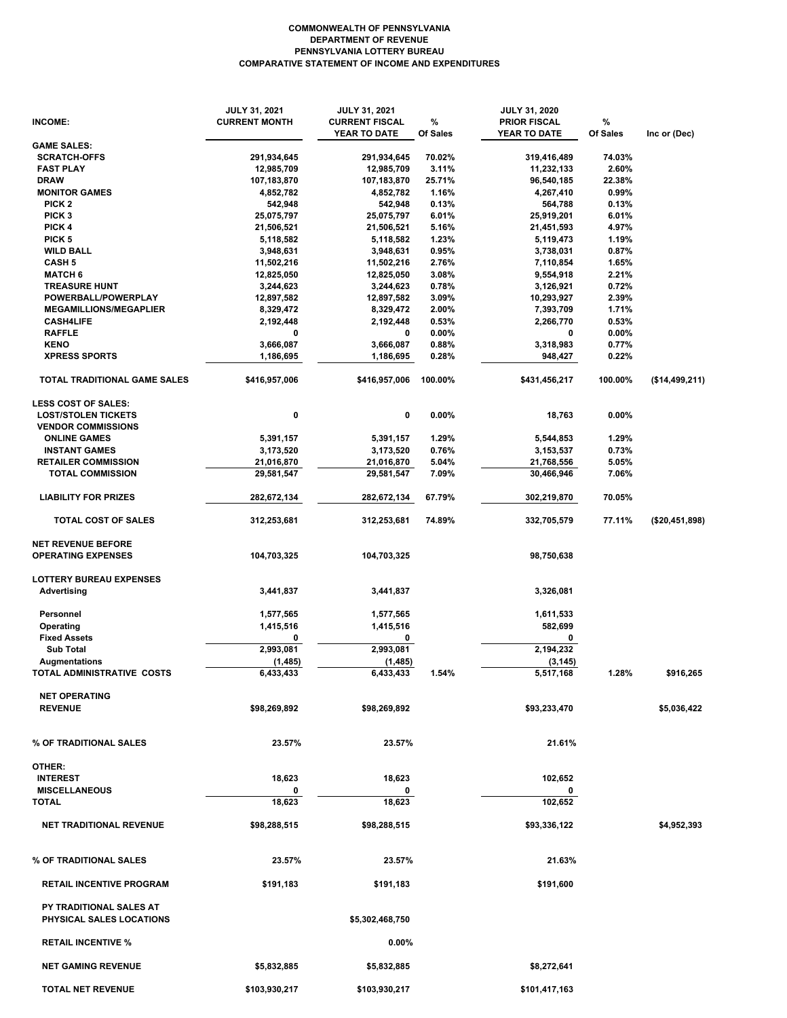## **COMPARATIVE STATEMENT OF INCOME AND EXPENDITURES PENNSYLVANIA LOTTERY BUREAU DEPARTMENT OF REVENUE COMMONWEALTH OF PENNSYLVANIA**

|                                     | <b>JULY 31, 2021</b> | <b>JULY 31, 2021</b>  |          | <b>JULY 31, 2020</b> |          |                |
|-------------------------------------|----------------------|-----------------------|----------|----------------------|----------|----------------|
| <b>INCOME:</b>                      | <b>CURRENT MONTH</b> | <b>CURRENT FISCAL</b> | %        | <b>PRIOR FISCAL</b>  | %        |                |
| <b>GAME SALES:</b>                  |                      | YEAR TO DATE          | Of Sales | YEAR TO DATE         | Of Sales | Inc or (Dec)   |
| <b>SCRATCH-OFFS</b>                 | 291,934,645          | 291,934,645           | 70.02%   | 319,416,489          | 74.03%   |                |
| <b>FAST PLAY</b>                    | 12,985,709           | 12,985,709            | 3.11%    | 11,232,133           | 2.60%    |                |
| <b>DRAW</b>                         | 107,183,870          | 107,183,870           | 25.71%   | 96,540,185           | 22.38%   |                |
| <b>MONITOR GAMES</b>                | 4,852,782            | 4,852,782             | 1.16%    | 4,267,410            | 0.99%    |                |
| PICK <sub>2</sub>                   | 542,948              | 542,948               | 0.13%    | 564,788              | 0.13%    |                |
| PICK <sub>3</sub>                   | 25,075,797           | 25,075,797            | 6.01%    | 25,919,201           | 6.01%    |                |
| PICK 4                              | 21,506,521           | 21,506,521            | 5.16%    | 21,451,593           | 4.97%    |                |
| PICK <sub>5</sub>                   | 5,118,582            | 5,118,582             | 1.23%    | 5,119,473            | 1.19%    |                |
| <b>WILD BALL</b>                    | 3,948,631            | 3,948,631             | 0.95%    | 3,738,031            | 0.87%    |                |
|                                     |                      |                       |          |                      |          |                |
| <b>CASH 5</b>                       | 11,502,216           | 11,502,216            | 2.76%    | 7,110,854            | 1.65%    |                |
| <b>MATCH 6</b>                      | 12,825,050           | 12,825,050            | 3.08%    | 9,554,918            | 2.21%    |                |
| <b>TREASURE HUNT</b>                | 3,244,623            | 3,244,623             | 0.78%    | 3,126,921            | 0.72%    |                |
| POWERBALL/POWERPLAY                 | 12,897,582           | 12,897,582            | 3.09%    | 10,293,927           | 2.39%    |                |
| <b>MEGAMILLIONS/MEGAPLIER</b>       | 8,329,472            | 8,329,472             | 2.00%    | 7,393,709            | 1.71%    |                |
| <b>CASH4LIFE</b>                    | 2,192,448            | 2,192,448             | 0.53%    | 2,266,770            | 0.53%    |                |
| <b>RAFFLE</b>                       | 0                    | 0                     | 0.00%    | 0                    | $0.00\%$ |                |
| <b>KENO</b>                         | 3,666,087            | 3,666,087             | 0.88%    | 3,318,983            | 0.77%    |                |
| <b>XPRESS SPORTS</b>                | 1,186,695            | 1,186,695             | 0.28%    | 948,427              | 0.22%    |                |
| <b>TOTAL TRADITIONAL GAME SALES</b> | \$416,957,006        | \$416,957,006         | 100.00%  | \$431,456,217        | 100.00%  | (\$14,499,211) |
| <b>LESS COST OF SALES:</b>          |                      |                       |          |                      |          |                |
| <b>LOST/STOLEN TICKETS</b>          | 0                    | 0                     | 0.00%    | 18,763               | $0.00\%$ |                |
| <b>VENDOR COMMISSIONS</b>           |                      |                       |          |                      |          |                |
| <b>ONLINE GAMES</b>                 | 5,391,157            | 5,391,157             | 1.29%    | 5,544,853            | 1.29%    |                |
| <b>INSTANT GAMES</b>                | 3,173,520            | 3,173,520             | 0.76%    | 3,153,537            | 0.73%    |                |
| <b>RETAILER COMMISSION</b>          | 21,016,870           | 21,016,870            | 5.04%    | 21,768,556           | 5.05%    |                |
| <b>TOTAL COMMISSION</b>             | 29,581,547           | 29,581,547            | 7.09%    | 30,466,946           | 7.06%    |                |
|                                     |                      |                       |          |                      |          |                |
| <b>LIABILITY FOR PRIZES</b>         | 282,672,134          | 282,672,134           | 67.79%   | 302,219,870          | 70.05%   |                |
| <b>TOTAL COST OF SALES</b>          | 312,253,681          | 312,253,681           | 74.89%   | 332,705,579          | 77.11%   | (\$20,451,898) |
| <b>NET REVENUE BEFORE</b>           |                      |                       |          |                      |          |                |
| <b>OPERATING EXPENSES</b>           | 104,703,325          | 104,703,325           |          | 98,750,638           |          |                |
|                                     |                      |                       |          |                      |          |                |
| <b>LOTTERY BUREAU EXPENSES</b>      |                      |                       |          |                      |          |                |
| Advertising                         | 3,441,837            | 3,441,837             |          | 3,326,081            |          |                |
| Personnel                           | 1,577,565            | 1,577,565             |          | 1,611,533            |          |                |
|                                     |                      |                       |          |                      |          |                |
| Operating                           | 1,415,516            | 1,415,516             |          | 582,699              |          |                |
| <b>Fixed Assets</b>                 | 0                    | 0                     |          | 0                    |          |                |
| <b>Sub Total</b>                    | 2,993,081            | 2,993,081             |          | 2,194,232            |          |                |
| <b>Augmentations</b>                | (1, 485)             | (1,485)               |          | (3, 145)             |          |                |
| TOTAL ADMINISTRATIVE COSTS          | 6,433,433            | 6,433,433             | 1.54%    | 5,517,168            | 1.28%    | \$916,265      |
| <b>NET OPERATING</b>                |                      |                       |          |                      |          |                |
| <b>REVENUE</b>                      | \$98,269,892         | \$98,269,892          |          | \$93,233,470         |          | \$5,036,422    |
|                                     |                      |                       |          |                      |          |                |
|                                     |                      |                       |          |                      |          |                |
| % OF TRADITIONAL SALES              | 23.57%               | 23.57%                |          | 21.61%               |          |                |
|                                     |                      |                       |          |                      |          |                |
| OTHER:                              |                      |                       |          |                      |          |                |
| <b>INTEREST</b>                     | 18,623               | 18,623                |          | 102,652              |          |                |
| <b>MISCELLANEOUS</b>                | 0                    |                       |          | 0                    |          |                |
| <b>TOTAL</b>                        | 18,623               | 18,623                |          | 102,652              |          |                |
| <b>NET TRADITIONAL REVENUE</b>      | \$98,288,515         | \$98,288,515          |          | \$93,336,122         |          | \$4,952,393    |
|                                     |                      |                       |          |                      |          |                |
| % OF TRADITIONAL SALES              | 23.57%               | 23.57%                |          | 21.63%               |          |                |
|                                     |                      |                       |          |                      |          |                |
| <b>RETAIL INCENTIVE PROGRAM</b>     | \$191,183            | \$191,183             |          | \$191,600            |          |                |
| PY TRADITIONAL SALES AT             |                      |                       |          |                      |          |                |
| PHYSICAL SALES LOCATIONS            |                      | \$5,302,468,750       |          |                      |          |                |
|                                     |                      |                       |          |                      |          |                |
| <b>RETAIL INCENTIVE %</b>           |                      | $0.00\%$              |          |                      |          |                |
| <b>NET GAMING REVENUE</b>           |                      |                       |          |                      |          |                |
|                                     | \$5,832,885          | \$5,832,885           |          | \$8,272,641          |          |                |
| <b>TOTAL NET REVENUE</b>            | \$103,930,217        | \$103,930,217         |          | \$101,417,163        |          |                |